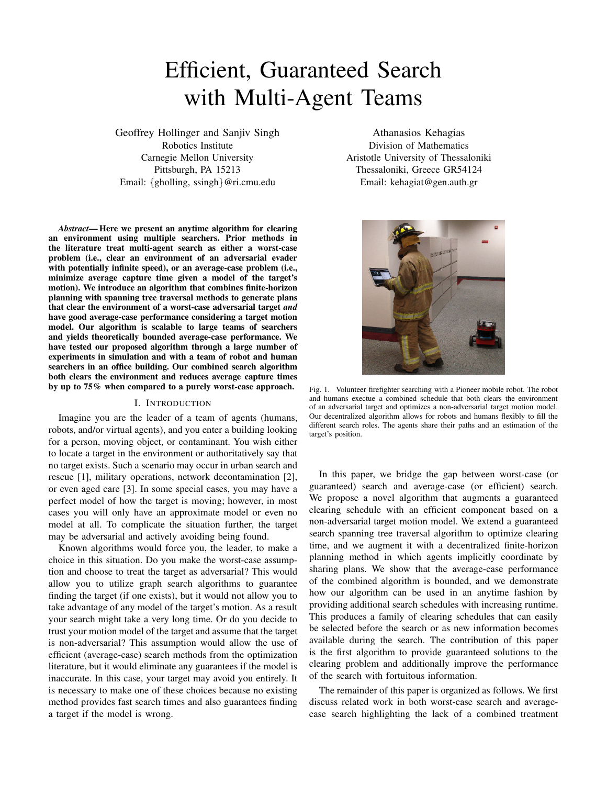# Efficient, Guaranteed Search with Multi-Agent Teams

Geoffrey Hollinger and Sanjiv Singh Robotics Institute Carnegie Mellon University Pittsburgh, PA 15213 Email: {gholling, ssingh}@ri.cmu.edu

*Abstract***— Here we present an anytime algorithm for clearing an environment using multiple searchers. Prior methods in the literature treat multi-agent search as either a worst-case problem (i.e., clear an environment of an adversarial evader with potentially infinite speed), or an average-case problem (i.e., minimize average capture time given a model of the target's motion). We introduce an algorithm that combines finite-horizon planning with spanning tree traversal methods to generate plans that clear the environment of a worst-case adversarial target** *and* **have good average-case performance considering a target motion model. Our algorithm is scalable to large teams of searchers and yields theoretically bounded average-case performance. We have tested our proposed algorithm through a large number of experiments in simulation and with a team of robot and human searchers in an office building. Our combined search algorithm both clears the environment and reduces average capture times by up to 75% when compared to a purely worst-case approach.**

## I. INTRODUCTION

Imagine you are the leader of a team of agents (humans, robots, and/or virtual agents), and you enter a building looking for a person, moving object, or contaminant. You wish either to locate a target in the environment or authoritatively say that no target exists. Such a scenario may occur in urban search and rescue [1], military operations, network decontamination [2], or even aged care [3]. In some special cases, you may have a perfect model of how the target is moving; however, in most cases you will only have an approximate model or even no model at all. To complicate the situation further, the target may be adversarial and actively avoiding being found.

Known algorithms would force you, the leader, to make a choice in this situation. Do you make the worst-case assumption and choose to treat the target as adversarial? This would allow you to utilize graph search algorithms to guarantee finding the target (if one exists), but it would not allow you to take advantage of any model of the target's motion. As a result your search might take a very long time. Or do you decide to trust your motion model of the target and assume that the target is non-adversarial? This assumption would allow the use of efficient (average-case) search methods from the optimization literature, but it would eliminate any guarantees if the model is inaccurate. In this case, your target may avoid you entirely. It is necessary to make one of these choices because no existing method provides fast search times and also guarantees finding a target if the model is wrong.

Athanasios Kehagias Division of Mathematics Aristotle University of Thessaloniki Thessaloniki, Greece GR54124 Email: kehagiat@gen.auth.gr



Fig. 1. Volunteer firefighter searching with a Pioneer mobile robot. The robot and humans exectue a combined schedule that both clears the environment of an adversarial target and optimizes a non-adversarial target motion model. Our decentralized algorithm allows for robots and humans flexibly to fill the different search roles. The agents share their paths and an estimation of the target's position.

In this paper, we bridge the gap between worst-case (or guaranteed) search and average-case (or efficient) search. We propose a novel algorithm that augments a guaranteed clearing schedule with an efficient component based on a non-adversarial target motion model. We extend a guaranteed search spanning tree traversal algorithm to optimize clearing time, and we augment it with a decentralized finite-horizon planning method in which agents implicitly coordinate by sharing plans. We show that the average-case performance of the combined algorithm is bounded, and we demonstrate how our algorithm can be used in an anytime fashion by providing additional search schedules with increasing runtime. This produces a family of clearing schedules that can easily be selected before the search or as new information becomes available during the search. The contribution of this paper is the first algorithm to provide guaranteed solutions to the clearing problem and additionally improve the performance of the search with fortuitous information.

The remainder of this paper is organized as follows. We first discuss related work in both worst-case search and averagecase search highlighting the lack of a combined treatment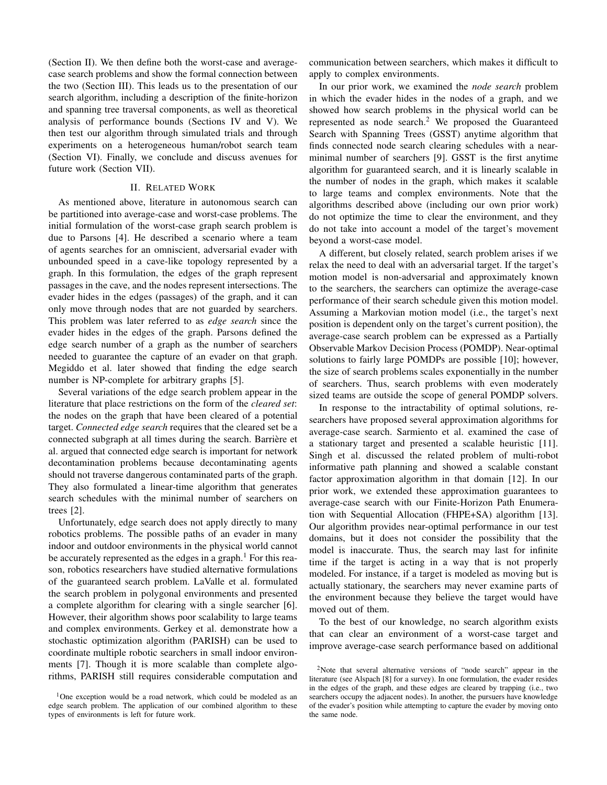(Section II). We then define both the worst-case and averagecase search problems and show the formal connection between the two (Section III). This leads us to the presentation of our search algorithm, including a description of the finite-horizon and spanning tree traversal components, as well as theoretical analysis of performance bounds (Sections IV and V). We then test our algorithm through simulated trials and through experiments on a heterogeneous human/robot search team (Section VI). Finally, we conclude and discuss avenues for future work (Section VII).

# II. RELATED WORK

As mentioned above, literature in autonomous search can be partitioned into average-case and worst-case problems. The initial formulation of the worst-case graph search problem is due to Parsons [4]. He described a scenario where a team of agents searches for an omniscient, adversarial evader with unbounded speed in a cave-like topology represented by a graph. In this formulation, the edges of the graph represent passages in the cave, and the nodes represent intersections. The evader hides in the edges (passages) of the graph, and it can only move through nodes that are not guarded by searchers. This problem was later referred to as *edge search* since the evader hides in the edges of the graph. Parsons defined the edge search number of a graph as the number of searchers needed to guarantee the capture of an evader on that graph. Megiddo et al. later showed that finding the edge search number is NP-complete for arbitrary graphs [5].

Several variations of the edge search problem appear in the literature that place restrictions on the form of the *cleared set*: the nodes on the graph that have been cleared of a potential target. *Connected edge search* requires that the cleared set be a connected subgraph at all times during the search. Barrière et al. argued that connected edge search is important for network decontamination problems because decontaminating agents should not traverse dangerous contaminated parts of the graph. They also formulated a linear-time algorithm that generates search schedules with the minimal number of searchers on trees [2].

Unfortunately, edge search does not apply directly to many robotics problems. The possible paths of an evader in many indoor and outdoor environments in the physical world cannot be accurately represented as the edges in a graph.<sup>1</sup> For this reason, robotics researchers have studied alternative formulations of the guaranteed search problem. LaValle et al. formulated the search problem in polygonal environments and presented a complete algorithm for clearing with a single searcher [6]. However, their algorithm shows poor scalability to large teams and complex environments. Gerkey et al. demonstrate how a stochastic optimization algorithm (PARISH) can be used to coordinate multiple robotic searchers in small indoor environments [7]. Though it is more scalable than complete algorithms, PARISH still requires considerable computation and

communication between searchers, which makes it difficult to apply to complex environments.

In our prior work, we examined the *node search* problem in which the evader hides in the nodes of a graph, and we showed how search problems in the physical world can be represented as node search.<sup>2</sup> We proposed the Guaranteed Search with Spanning Trees (GSST) anytime algorithm that finds connected node search clearing schedules with a nearminimal number of searchers [9]. GSST is the first anytime algorithm for guaranteed search, and it is linearly scalable in the number of nodes in the graph, which makes it scalable to large teams and complex environments. Note that the algorithms described above (including our own prior work) do not optimize the time to clear the environment, and they do not take into account a model of the target's movement beyond a worst-case model.

A different, but closely related, search problem arises if we relax the need to deal with an adversarial target. If the target's motion model is non-adversarial and approximately known to the searchers, the searchers can optimize the average-case performance of their search schedule given this motion model. Assuming a Markovian motion model (i.e., the target's next position is dependent only on the target's current position), the average-case search problem can be expressed as a Partially Observable Markov Decision Process (POMDP). Near-optimal solutions to fairly large POMDPs are possible [10]; however, the size of search problems scales exponentially in the number of searchers. Thus, search problems with even moderately sized teams are outside the scope of general POMDP solvers.

In response to the intractability of optimal solutions, researchers have proposed several approximation algorithms for average-case search. Sarmiento et al. examined the case of a stationary target and presented a scalable heuristic [11]. Singh et al. discussed the related problem of multi-robot informative path planning and showed a scalable constant factor approximation algorithm in that domain [12]. In our prior work, we extended these approximation guarantees to average-case search with our Finite-Horizon Path Enumeration with Sequential Allocation (FHPE+SA) algorithm [13]. Our algorithm provides near-optimal performance in our test domains, but it does not consider the possibility that the model is inaccurate. Thus, the search may last for infinite time if the target is acting in a way that is not properly modeled. For instance, if a target is modeled as moving but is actually stationary, the searchers may never examine parts of the environment because they believe the target would have moved out of them.

To the best of our knowledge, no search algorithm exists that can clear an environment of a worst-case target and improve average-case search performance based on additional

 $1$ One exception would be a road network, which could be modeled as an edge search problem. The application of our combined algorithm to these types of environments is left for future work.

<sup>2</sup>Note that several alternative versions of "node search" appear in the literature (see Alspach [8] for a survey). In one formulation, the evader resides in the edges of the graph, and these edges are cleared by trapping (i.e., two searchers occupy the adjacent nodes). In another, the pursuers have knowledge of the evader's position while attempting to capture the evader by moving onto the same node.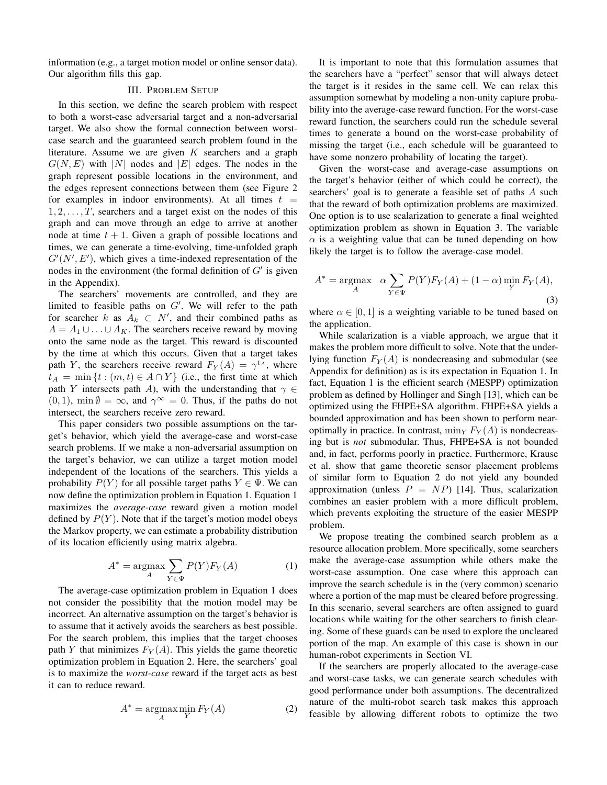information (e.g., a target motion model or online sensor data). Our algorithm fills this gap.

## III. PROBLEM SETUP

In this section, we define the search problem with respect to both a worst-case adversarial target and a non-adversarial target. We also show the formal connection between worstcase search and the guaranteed search problem found in the literature. Assume we are given  $K$  searchers and a graph  $G(N, E)$  with |N| nodes and |E| edges. The nodes in the graph represent possible locations in the environment, and the edges represent connections between them (see Figure 2 for examples in indoor environments). At all times  $t =$  $1, 2, \ldots, T$ , searchers and a target exist on the nodes of this graph and can move through an edge to arrive at another node at time  $t + 1$ . Given a graph of possible locations and times, we can generate a time-evolving, time-unfolded graph  $G'(N', E')$ , which gives a time-indexed representation of the nodes in the environment (the formal definition of  $G'$  is given in the Appendix).

The searchers' movements are controlled, and they are limited to feasible paths on  $G'$ . We will refer to the path for searcher k as  $A_k \subset N'$ , and their combined paths as  $A = A_1 \cup \ldots \cup A_K$ . The searchers receive reward by moving onto the same node as the target. This reward is discounted by the time at which this occurs. Given that a target takes path Y, the searchers receive reward  $F_Y(A) = \gamma^{t_A}$ , where  $t_A = \min \{t : (m, t) \in A \cap Y\}$  (i.e., the first time at which path Y intersects path A), with the understanding that  $\gamma \in$  $(0, 1)$ , min  $\emptyset = \infty$ , and  $\gamma^{\infty} = 0$ . Thus, if the paths do not intersect, the searchers receive zero reward.

This paper considers two possible assumptions on the target's behavior, which yield the average-case and worst-case search problems. If we make a non-adversarial assumption on the target's behavior, we can utilize a target motion model independent of the locations of the searchers. This yields a probability  $P(Y)$  for all possible target paths  $Y \in \Psi$ . We can now define the optimization problem in Equation 1. Equation 1 maximizes the *average-case* reward given a motion model defined by  $P(Y)$ . Note that if the target's motion model obeys the Markov property, we can estimate a probability distribution of its location efficiently using matrix algebra.

$$
A^* = \underset{A}{\text{argmax}} \sum_{Y \in \Psi} P(Y) F_Y(A) \tag{1}
$$

The average-case optimization problem in Equation 1 does not consider the possibility that the motion model may be incorrect. An alternative assumption on the target's behavior is to assume that it actively avoids the searchers as best possible. For the search problem, this implies that the target chooses path Y that minimizes  $F_Y(A)$ . This yields the game theoretic optimization problem in Equation 2. Here, the searchers' goal is to maximize the *worst-case* reward if the target acts as best it can to reduce reward.

$$
A^* = \underset{A}{\operatorname{argmax}} \min_{Y} F_Y(A) \tag{2}
$$

It is important to note that this formulation assumes that the searchers have a "perfect" sensor that will always detect the target is it resides in the same cell. We can relax this assumption somewhat by modeling a non-unity capture probability into the average-case reward function. For the worst-case reward function, the searchers could run the schedule several times to generate a bound on the worst-case probability of missing the target (i.e., each schedule will be guaranteed to have some nonzero probability of locating the target).

Given the worst-case and average-case assumptions on the target's behavior (either of which could be correct), the searchers' goal is to generate a feasible set of paths A such that the reward of both optimization problems are maximized. One option is to use scalarization to generate a final weighted optimization problem as shown in Equation 3. The variable  $\alpha$  is a weighting value that can be tuned depending on how likely the target is to follow the average-case model.

$$
A^* = \underset{A}{\text{argmax}} \quad \alpha \sum_{Y \in \Psi} P(Y) F_Y(A) + (1 - \alpha) \underset{Y}{\text{min}} F_Y(A),\tag{3}
$$

where  $\alpha \in [0, 1]$  is a weighting variable to be tuned based on the application.

While scalarization is a viable approach, we argue that it makes the problem more difficult to solve. Note that the underlying function  $F_Y(A)$  is nondecreasing and submodular (see Appendix for definition) as is its expectation in Equation 1. In fact, Equation 1 is the efficient search (MESPP) optimization problem as defined by Hollinger and Singh [13], which can be optimized using the FHPE+SA algorithm. FHPE+SA yields a bounded approximation and has been shown to perform nearoptimally in practice. In contrast,  $\min_Y F_Y(A)$  is nondecreasing but is *not* submodular. Thus, FHPE+SA is not bounded and, in fact, performs poorly in practice. Furthermore, Krause et al. show that game theoretic sensor placement problems of similar form to Equation 2 do not yield any bounded approximation (unless  $P = NP$ ) [14]. Thus, scalarization combines an easier problem with a more difficult problem, which prevents exploiting the structure of the easier MESPP problem.

We propose treating the combined search problem as a resource allocation problem. More specifically, some searchers make the average-case assumption while others make the worst-case assumption. One case where this approach can improve the search schedule is in the (very common) scenario where a portion of the map must be cleared before progressing. In this scenario, several searchers are often assigned to guard locations while waiting for the other searchers to finish clearing. Some of these guards can be used to explore the uncleared portion of the map. An example of this case is shown in our human-robot experiments in Section VI.

If the searchers are properly allocated to the average-case and worst-case tasks, we can generate search schedules with good performance under both assumptions. The decentralized nature of the multi-robot search task makes this approach feasible by allowing different robots to optimize the two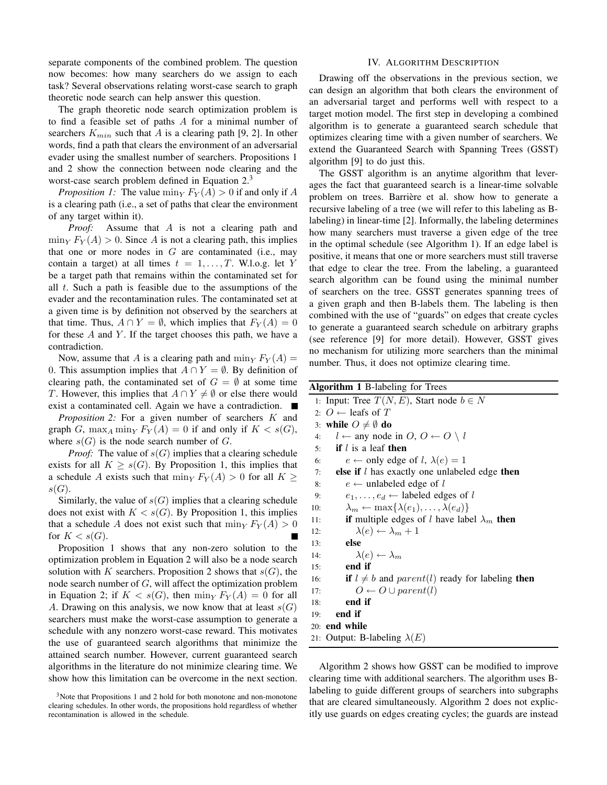separate components of the combined problem. The question now becomes: how many searchers do we assign to each task? Several observations relating worst-case search to graph theoretic node search can help answer this question.

The graph theoretic node search optimization problem is to find a feasible set of paths  $A$  for a minimal number of searchers  $K_{min}$  such that A is a clearing path [9, 2]. In other words, find a path that clears the environment of an adversarial evader using the smallest number of searchers. Propositions 1 and 2 show the connection between node clearing and the worst-case search problem defined in Equation 2.<sup>3</sup>

*Proposition 1:* The value  $\min_Y F_Y(A) > 0$  if and only if A is a clearing path (i.e., a set of paths that clear the environment of any target within it).

*Proof:* Assume that A is not a clearing path and  $\min_Y F_Y(A) > 0$ . Since A is not a clearing path, this implies that one or more nodes in  $G$  are contaminated (i.e., may contain a target) at all times  $t = 1, \ldots, T$ . W.l.o.g. let Y be a target path that remains within the contaminated set for all  $t$ . Such a path is feasible due to the assumptions of the evader and the recontamination rules. The contaminated set at a given time is by definition not observed by the searchers at that time. Thus,  $A \cap Y = \emptyset$ , which implies that  $F_Y(A) = 0$ for these  $A$  and  $Y$ . If the target chooses this path, we have a contradiction.

Now, assume that A is a clearing path and  $\min_Y F_Y(A) =$ 0. This assumption implies that  $A \cap Y = \emptyset$ . By definition of clearing path, the contaminated set of  $G = \emptyset$  at some time T. However, this implies that  $A \cap Y \neq \emptyset$  or else there would exist a contaminated cell. Again we have a contradiction.

*Proposition 2:* For a given number of searchers K and graph G,  $\max_A \min_Y F_Y(A) = 0$  if and only if  $K < s(G)$ , where  $s(G)$  is the node search number of G.

*Proof:* The value of  $s(G)$  implies that a clearing schedule exists for all  $K > s(G)$ . By Proposition 1, this implies that a schedule A exists such that min<sub>Y</sub>  $F_Y(A) > 0$  for all  $K \geq$  $s(G).$ 

Similarly, the value of  $s(G)$  implies that a clearing schedule does not exist with  $K < s(G)$ . By Proposition 1, this implies that a schedule A does not exist such that  $\min_Y F_Y(A) > 0$ for  $K < s(G)$ .

Proposition 1 shows that any non-zero solution to the optimization problem in Equation 2 will also be a node search solution with K searchers. Proposition 2 shows that  $s(G)$ , the node search number of G, will affect the optimization problem in Equation 2; if  $K < s(G)$ , then  $\min_Y F_Y(A) = 0$  for all A. Drawing on this analysis, we now know that at least  $s(G)$ searchers must make the worst-case assumption to generate a schedule with any nonzero worst-case reward. This motivates the use of guaranteed search algorithms that minimize the attained search number. However, current guaranteed search algorithms in the literature do not minimize clearing time. We show how this limitation can be overcome in the next section.

#### IV. ALGORITHM DESCRIPTION

Drawing off the observations in the previous section, we can design an algorithm that both clears the environment of an adversarial target and performs well with respect to a target motion model. The first step in developing a combined algorithm is to generate a guaranteed search schedule that optimizes clearing time with a given number of searchers. We extend the Guaranteed Search with Spanning Trees (GSST) algorithm [9] to do just this.

The GSST algorithm is an anytime algorithm that leverages the fact that guaranteed search is a linear-time solvable problem on trees. Barrière et al. show how to generate a recursive labeling of a tree (we will refer to this labeling as Blabeling) in linear-time [2]. Informally, the labeling determines how many searchers must traverse a given edge of the tree in the optimal schedule (see Algorithm 1). If an edge label is positive, it means that one or more searchers must still traverse that edge to clear the tree. From the labeling, a guaranteed search algorithm can be found using the minimal number of searchers on the tree. GSST generates spanning trees of a given graph and then B-labels them. The labeling is then combined with the use of "guards" on edges that create cycles to generate a guaranteed search schedule on arbitrary graphs (see reference [9] for more detail). However, GSST gives no mechanism for utilizing more searchers than the minimal number. Thus, it does not optimize clearing time.

| <b>Algorithm 1 B-labeling for Trees</b>                                   |  |  |  |  |
|---------------------------------------------------------------------------|--|--|--|--|
| 1: Input: Tree $T(N, E)$ , Start node $b \in N$                           |  |  |  |  |
| 2: $Q \leftarrow$ leafs of T                                              |  |  |  |  |
| 3: while $O \neq \emptyset$ do                                            |  |  |  |  |
| $l \leftarrow$ any node in $O, O \leftarrow O \setminus l$<br>4:          |  |  |  |  |
| <b>if</b> $l$ is a leaf <b>then</b><br>5:                                 |  |  |  |  |
| $e \leftarrow$ only edge of l, $\lambda(e) = 1$<br>6:                     |  |  |  |  |
| <b>else if</b> $l$ has exactly one unlabeled edge <b>then</b><br>7:       |  |  |  |  |
| $e \leftarrow$ unlabeled edge of l<br>8:                                  |  |  |  |  |
| $e_1, \ldots, e_d \leftarrow$ labeled edges of l<br>9:                    |  |  |  |  |
| $\lambda_m \leftarrow \max\{\lambda(e_1), \ldots, \lambda(e_d)\}\$<br>10: |  |  |  |  |
| <b>if</b> multiple edges of l have label $\lambda_m$ then<br>11:          |  |  |  |  |
| $\lambda(e) \leftarrow \lambda_m + 1$<br>12:                              |  |  |  |  |
| else<br>13:                                                               |  |  |  |  |
| $\lambda(e) \leftarrow \lambda_m$<br>14:                                  |  |  |  |  |
| end if<br>15:                                                             |  |  |  |  |
| if $l \neq b$ and $parent(l)$ ready for labeling then<br>16:              |  |  |  |  |
| $O \leftarrow O \cup parent(l)$<br>17:                                    |  |  |  |  |
| end if<br>18:                                                             |  |  |  |  |
| end if<br>19:                                                             |  |  |  |  |
| $20:$ end while                                                           |  |  |  |  |
| 21: Output: B-labeling $\lambda(E)$                                       |  |  |  |  |

Algorithm 2 shows how GSST can be modified to improve clearing time with additional searchers. The algorithm uses Blabeling to guide different groups of searchers into subgraphs that are cleared simultaneously. Algorithm 2 does not explicitly use guards on edges creating cycles; the guards are instead

 $3$ Note that Propositions 1 and 2 hold for both monotone and non-monotone clearing schedules. In other words, the propositions hold regardless of whether recontamination is allowed in the schedule.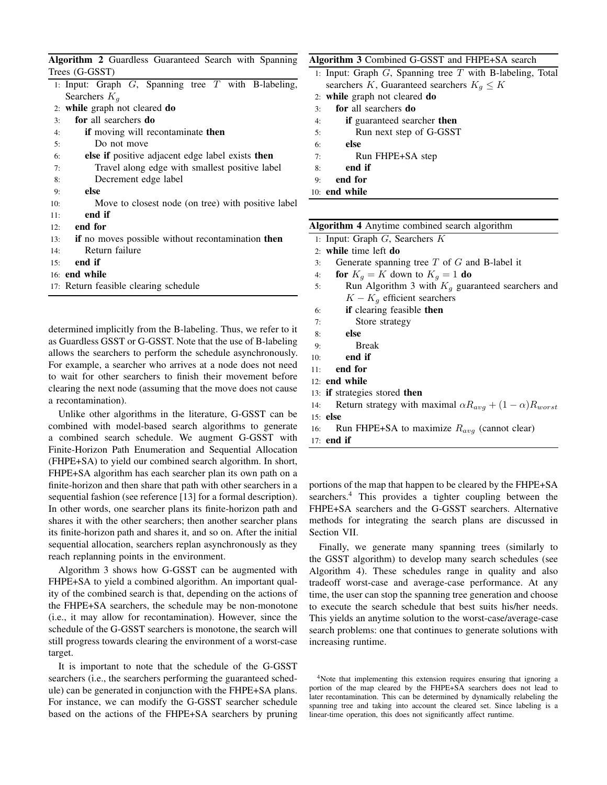|                |  | Algorithm 2 Guardless Guaranteed Search with Spanning |  |  |
|----------------|--|-------------------------------------------------------|--|--|
| Trees (G-GSST) |  |                                                       |  |  |

- 1: Input: Graph  $G$ , Spanning tree  $T$  with B-labeling, Searchers  $K_q$ 2: **while** graph not cleared **do**
- 3: **for** all searchers **do**
- 
- 4: **if** moving will recontaminate **then**
- 5: Do not move
- 6: **else if** positive adjacent edge label exists **then**
- 7: Travel along edge with smallest positive label
- 8: Decrement edge label
- 9: **else**
- 10: Move to closest node (on tree) with positive label
- 11: **end if**
- 12: **end for**
- 13: **if** no moves possible without recontamination **then**
- 14: Return failure
- 15: **end if**
- 16: **end while**
- 17: Return feasible clearing schedule

determined implicitly from the B-labeling. Thus, we refer to it as Guardless GSST or G-GSST. Note that the use of B-labeling allows the searchers to perform the schedule asynchronously. For example, a searcher who arrives at a node does not need to wait for other searchers to finish their movement before clearing the next node (assuming that the move does not cause a recontamination).

Unlike other algorithms in the literature, G-GSST can be combined with model-based search algorithms to generate a combined search schedule. We augment G-GSST with Finite-Horizon Path Enumeration and Sequential Allocation (FHPE+SA) to yield our combined search algorithm. In short, FHPE+SA algorithm has each searcher plan its own path on a finite-horizon and then share that path with other searchers in a sequential fashion (see reference [13] for a formal description). In other words, one searcher plans its finite-horizon path and shares it with the other searchers; then another searcher plans its finite-horizon path and shares it, and so on. After the initial sequential allocation, searchers replan asynchronously as they reach replanning points in the environment.

Algorithm 3 shows how G-GSST can be augmented with FHPE+SA to yield a combined algorithm. An important quality of the combined search is that, depending on the actions of the FHPE+SA searchers, the schedule may be non-monotone (i.e., it may allow for recontamination). However, since the schedule of the G-GSST searchers is monotone, the search will still progress towards clearing the environment of a worst-case target.

It is important to note that the schedule of the G-GSST searchers (i.e., the searchers performing the guaranteed schedule) can be generated in conjunction with the FHPE+SA plans. For instance, we can modify the G-GSST searcher schedule based on the actions of the FHPE+SA searchers by pruning

## **Algorithm 3** Combined G-GSST and FHPE+SA search

|    | 1: Input: Graph $G$ , Spanning tree $T$ with B-labeling, Total |
|----|----------------------------------------------------------------|
|    | searchers K, Guaranteed searchers $K_a \leq K$                 |
|    | 2: while graph not cleared do                                  |
| 3: | for all searchers do                                           |
| 4: | <b>if</b> guaranteed searcher <b>then</b>                      |
| 5: | Run next step of G-GSST                                        |
| 6: | else                                                           |
| 7: | Run FHPE+SA step                                               |
| 8: | end if                                                         |
| 9: | end for                                                        |
|    | $10:$ end while                                                |

| Algorithm 4 Anytime combined search algorithm |  |
|-----------------------------------------------|--|
| 1: Input: Graph $G$ , Searchers $K$           |  |

- 2: **while** time left **do**
- 3: Generate spanning tree  $T$  of  $G$  and B-label it
- 4: **for**  $K_q = K$  down to  $K_q = 1$  **do**
- 5: Run Algorithm 3 with  $K<sub>q</sub>$  guaranteed searchers and  $K - K<sub>g</sub>$  efficient searchers
- 6: **if** clearing feasible **then**
- 7: Store strategy
- 8: **else**
- 9: Break
- 10: **end if**
- 11: **end for**
- 12: **end while**
- 13: **if** strategies stored **then**
- 14: Return strategy with maximal  $\alpha R_{avg} + (1 \alpha)R_{worst}$ 15: **else**
- 16: Run FHPE+SA to maximize  $R_{avg}$  (cannot clear)
- 17: **end if**

portions of the map that happen to be cleared by the FHPE+SA searchers.<sup>4</sup> This provides a tighter coupling between the FHPE+SA searchers and the G-GSST searchers. Alternative methods for integrating the search plans are discussed in Section VII.

Finally, we generate many spanning trees (similarly to the GSST algorithm) to develop many search schedules (see Algorithm 4). These schedules range in quality and also tradeoff worst-case and average-case performance. At any time, the user can stop the spanning tree generation and choose to execute the search schedule that best suits his/her needs. This yields an anytime solution to the worst-case/average-case search problems: one that continues to generate solutions with increasing runtime.

<sup>4</sup>Note that implementing this extension requires ensuring that ignoring a portion of the map cleared by the FHPE+SA searchers does not lead to later recontamination. This can be determined by dynamically relabeling the spanning tree and taking into account the cleared set. Since labeling is a linear-time operation, this does not significantly affect runtime.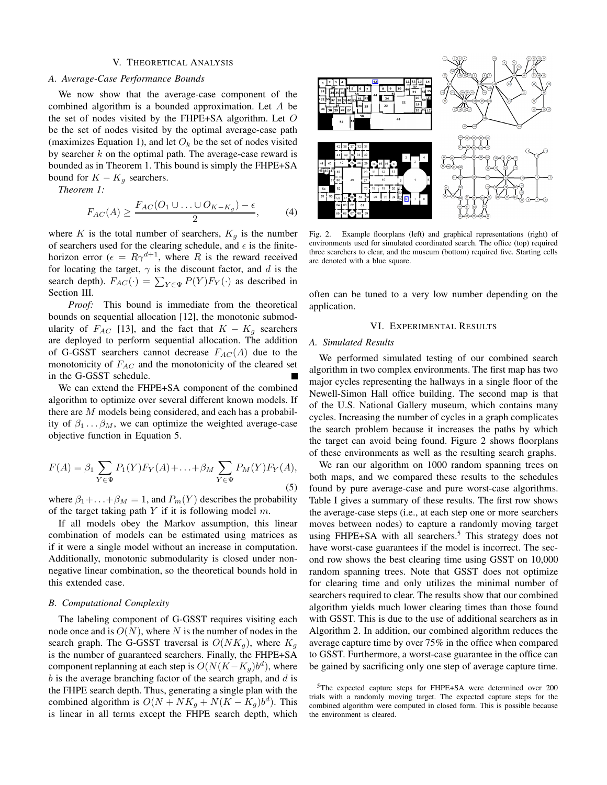## V. THEORETICAL ANALYSIS

## *A. Average-Case Performance Bounds*

We now show that the average-case component of the combined algorithm is a bounded approximation. Let A be the set of nodes visited by the FHPE+SA algorithm. Let  $O$ be the set of nodes visited by the optimal average-case path (maximizes Equation 1), and let  $O_k$  be the set of nodes visited by searcher  $k$  on the optimal path. The average-case reward is bounded as in Theorem 1. This bound is simply the FHPE+SA bound for  $K - K_g$  searchers.

*Theorem 1:*

$$
F_{AC}(A) \ge \frac{F_{AC}(O_1 \cup \ldots \cup O_{K-K_g}) - \epsilon}{2},\tag{4}
$$

where K is the total number of searchers,  $K_g$  is the number of searchers used for the clearing schedule, and  $\epsilon$  is the finitehorizon error ( $\epsilon = R\gamma^{d+1}$ , where R is the reward received for locating the target,  $\gamma$  is the discount factor, and d is the search depth).  $F_{AC}(\cdot) = \sum_{Y \in \Psi} P(Y) F_Y(\cdot)$  as described in Section III.

*Proof:* This bound is immediate from the theoretical bounds on sequential allocation [12], the monotonic submodularity of  $F_{AC}$  [13], and the fact that  $K - K_q$  searchers are deployed to perform sequential allocation. The addition of G-GSST searchers cannot decrease  $F_{AC}(A)$  due to the monotonicity of  $F_{AC}$  and the monotonicity of the cleared set in the G-GSST schedule.

We can extend the FHPE+SA component of the combined algorithm to optimize over several different known models. If there are M models being considered, and each has a probability of  $\beta_1 \dots \beta_M$ , we can optimize the weighted average-case objective function in Equation 5.

$$
F(A) = \beta_1 \sum_{Y \in \Psi} P_1(Y) F_Y(A) + \ldots + \beta_M \sum_{Y \in \Psi} P_M(Y) F_Y(A),
$$
\n(5)

where  $\beta_1 + \ldots + \beta_M = 1$ , and  $P_m(Y)$  describes the probability of the target taking path  $Y$  if it is following model  $m$ .

If all models obey the Markov assumption, this linear combination of models can be estimated using matrices as if it were a single model without an increase in computation. Additionally, monotonic submodularity is closed under nonnegative linear combination, so the theoretical bounds hold in this extended case.

# *B. Computational Complexity*

The labeling component of G-GSST requires visiting each node once and is  $O(N)$ , where N is the number of nodes in the search graph. The G-GSST traversal is  $O(NK_q)$ , where  $K_q$ is the number of guaranteed searchers. Finally, the FHPE+SA component replanning at each step is  $O(N(K-K_g)b^d)$ , where  $b$  is the average branching factor of the search graph, and  $d$  is the FHPE search depth. Thus, generating a single plan with the combined algorithm is  $O(N + NK_g + N(K - K_g)b^d)$ . This is linear in all terms except the FHPE search depth, which



Fig. 2. Example floorplans (left) and graphical representations (right) of environments used for simulated coordinated search. The office (top) required three searchers to clear, and the museum (bottom) required five. Starting cells are denoted with a blue square.

often can be tuned to a very low number depending on the application.

## VI. EXPERIMENTAL RESULTS

## *A. Simulated Results*

We performed simulated testing of our combined search algorithm in two complex environments. The first map has two major cycles representing the hallways in a single floor of the Newell-Simon Hall office building. The second map is that of the U.S. National Gallery museum, which contains many cycles. Increasing the number of cycles in a graph complicates the search problem because it increases the paths by which the target can avoid being found. Figure 2 shows floorplans of these environments as well as the resulting search graphs.

We ran our algorithm on 1000 random spanning trees on both maps, and we compared these results to the schedules found by pure average-case and pure worst-case algorithms. Table I gives a summary of these results. The first row shows the average-case steps (i.e., at each step one or more searchers moves between nodes) to capture a randomly moving target using FHPE+SA with all searchers.<sup>5</sup> This strategy does not have worst-case guarantees if the model is incorrect. The second row shows the best clearing time using GSST on 10,000 random spanning trees. Note that GSST does not optimize for clearing time and only utilizes the minimal number of searchers required to clear. The results show that our combined algorithm yields much lower clearing times than those found with GSST. This is due to the use of additional searchers as in Algorithm 2. In addition, our combined algorithm reduces the average capture time by over 75% in the office when compared to GSST. Furthermore, a worst-case guarantee in the office can be gained by sacrificing only one step of average capture time.

<sup>&</sup>lt;sup>5</sup>The expected capture steps for FHPE+SA were determined over 200 trials with a randomly moving target. The expected capture steps for the combined algorithm were computed in closed form. This is possible because the environment is cleared.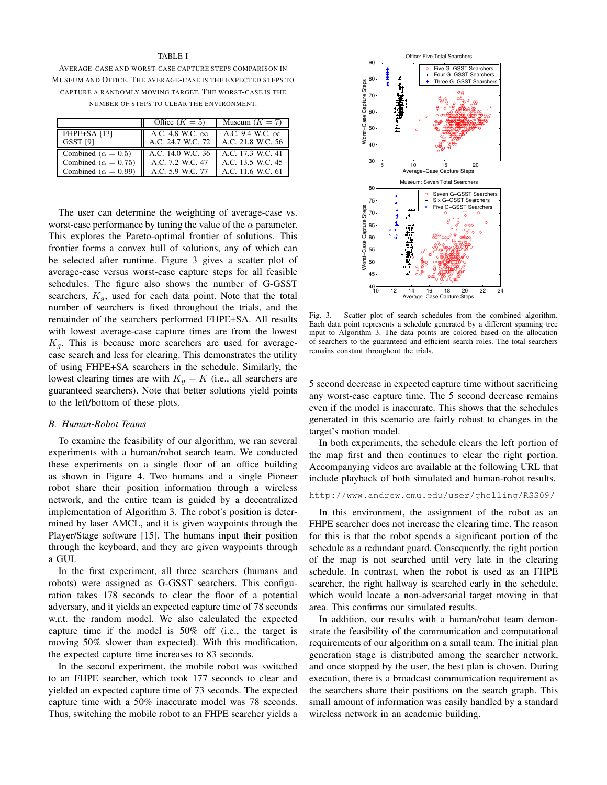#### TABLE I

AVERAGE-CASE AND WORST-CASE CAPTURE STEPS COMPARISON IN MUSEUM AND OFFICE. THE AVERAGE-CASE IS THE EXPECTED STEPS TO CAPTURE A RANDOMLY MOVING TARGET. THE WORST-CASE IS THE NUMBER OF STEPS TO CLEAR THE ENVIRONMENT.

|                              | Office $(K = 5)$       | Museum $(K = 7)$       |
|------------------------------|------------------------|------------------------|
| $FHPE+SA$ [13]               | A.C. 4.8 W.C. $\infty$ | A.C. 9.4 W.C. $\infty$ |
| <b>GSST [9]</b>              | A.C. 24.7 W.C. 72      | A.C. 21.8 W.C. 56      |
| Combined ( $\alpha = 0.5$ )  | A.C. 14.0 W.C. 36      | A.C. 17.3 W.C. 41      |
| Combined ( $\alpha = 0.75$ ) | A.C. 7.2 W.C. 47       | A.C. 13.5 W.C. 45      |
| Combined ( $\alpha = 0.99$ ) | A.C. 5.9 W.C. 77       | A.C. 11.6 W.C. 61      |

The user can determine the weighting of average-case vs. worst-case performance by tuning the value of the  $\alpha$  parameter. This explores the Pareto-optimal frontier of solutions. This frontier forms a convex hull of solutions, any of which can be selected after runtime. Figure 3 gives a scatter plot of average-case versus worst-case capture steps for all feasible schedules. The figure also shows the number of G-GSST searchers,  $K_q$ , used for each data point. Note that the total number of searchers is fixed throughout the trials, and the remainder of the searchers performed FHPE+SA. All results with lowest average-case capture times are from the lowest  $K_q$ . This is because more searchers are used for averagecase search and less for clearing. This demonstrates the utility of using FHPE+SA searchers in the schedule. Similarly, the lowest clearing times are with  $K_g = K$  (i.e., all searchers are guaranteed searchers). Note that better solutions yield points to the left/bottom of these plots.

## *B. Human-Robot Teams*

To examine the feasibility of our algorithm, we ran several experiments with a human/robot search team. We conducted these experiments on a single floor of an office building as shown in Figure 4. Two humans and a single Pioneer robot share their position information through a wireless network, and the entire team is guided by a decentralized implementation of Algorithm 3. The robot's position is determined by laser AMCL, and it is given waypoints through the Player/Stage software [15]. The humans input their position through the keyboard, and they are given waypoints through a GUI.

In the first experiment, all three searchers (humans and robots) were assigned as G-GSST searchers. This configuration takes 178 seconds to clear the floor of a potential adversary, and it yields an expected capture time of 78 seconds w.r.t. the random model. We also calculated the expected capture time if the model is 50% off (i.e., the target is moving 50% slower than expected). With this modification, the expected capture time increases to 83 seconds.

In the second experiment, the mobile robot was switched to an FHPE searcher, which took 177 seconds to clear and yielded an expected capture time of 73 seconds. The expected capture time with a 50% inaccurate model was 78 seconds. Thus, switching the mobile robot to an FHPE searcher yields a



Fig. 3. Scatter plot of search schedules from the combined algorithm. Each data point represents a schedule generated by a different spanning tree input to Algorithm 3. The data points are colored based on the allocation of searchers to the guaranteed and efficient search roles. The total searchers remains constant throughout the trials.

5 second decrease in expected capture time without sacrificing any worst-case capture time. The 5 second decrease remains even if the model is inaccurate. This shows that the schedules generated in this scenario are fairly robust to changes in the target's motion model.

In both experiments, the schedule clears the left portion of the map first and then continues to clear the right portion. Accompanying videos are available at the following URL that include playback of both simulated and human-robot results.

## http://www.andrew.cmu.edu/user/gholling/RSS09/

In this environment, the assignment of the robot as an FHPE searcher does not increase the clearing time. The reason for this is that the robot spends a significant portion of the schedule as a redundant guard. Consequently, the right portion of the map is not searched until very late in the clearing schedule. In contrast, when the robot is used as an FHPE searcher, the right hallway is searched early in the schedule, which would locate a non-adversarial target moving in that area. This confirms our simulated results.

In addition, our results with a human/robot team demonstrate the feasibility of the communication and computational requirements of our algorithm on a small team. The initial plan generation stage is distributed among the searcher network, and once stopped by the user, the best plan is chosen. During execution, there is a broadcast communication requirement as the searchers share their positions on the search graph. This small amount of information was easily handled by a standard wireless network in an academic building.